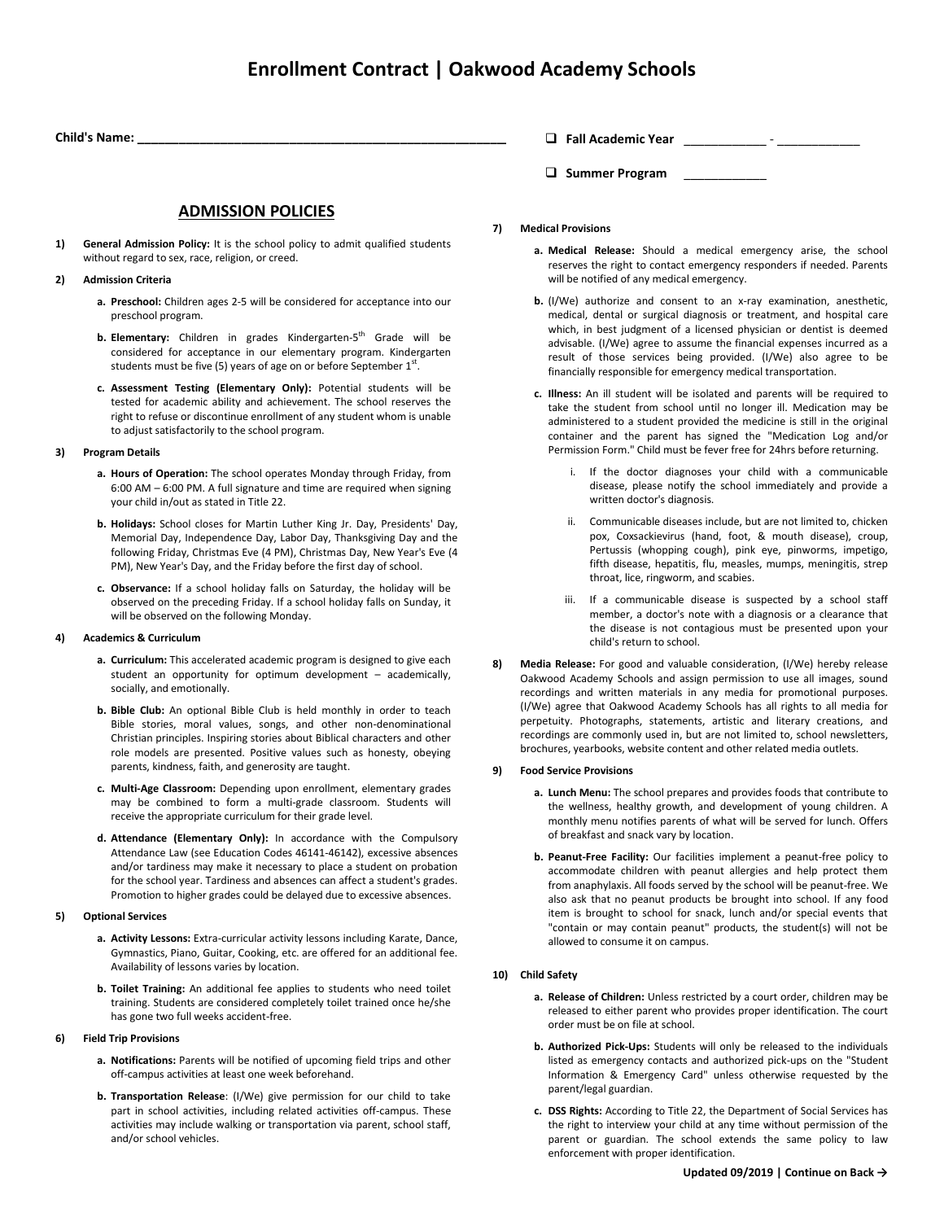# **Enrollment Contract | Oakwood Academy Schools**

**Child's Name: \_\_\_\_\_\_\_\_\_\_\_\_\_\_\_\_\_\_\_\_\_\_\_\_\_\_\_\_\_\_\_\_\_\_\_\_\_\_\_\_\_\_\_\_\_\_\_\_\_\_\_\_\_\_\_\_**

# **ADMISSION POLICIES**

- **1) General Admission Policy:** It is the school policy to admit qualified students without regard to sex, race, religion, or creed.
- **2) Admission Criteria**
	- **a. Preschool:** Children ages 2-5 will be considered for acceptance into our preschool program.
	- **b. Elementary:** Children in grades Kindergarten-5<sup>th</sup> Grade will be considered for acceptance in our elementary program. Kindergarten students must be five (5) years of age on or before September  $1<sup>st</sup>$ .
	- **c. Assessment Testing (Elementary Only):** Potential students will be tested for academic ability and achievement. The school reserves the right to refuse or discontinue enrollment of any student whom is unable to adjust satisfactorily to the school program.

## **3) Program Details**

- **a. Hours of Operation:** The school operates Monday through Friday, from 6:00 AM – 6:00 PM. A full signature and time are required when signing your child in/out as stated in Title 22.
- **b. Holidays:** School closes for Martin Luther King Jr. Day, Presidents' Day, Memorial Day, Independence Day, Labor Day, Thanksgiving Day and the following Friday, Christmas Eve (4 PM), Christmas Day, New Year's Eve (4 PM), New Year's Day, and the Friday before the first day of school.
- **c. Observance:** If a school holiday falls on Saturday, the holiday will be observed on the preceding Friday. If a school holiday falls on Sunday, it will be observed on the following Monday.

#### **4) Academics & Curriculum**

- **a. Curriculum:** This accelerated academic program is designed to give each student an opportunity for optimum development – academically, socially, and emotionally.
- **b. Bible Club:** An optional Bible Club is held monthly in order to teach Bible stories, moral values, songs, and other non-denominational Christian principles. Inspiring stories about Biblical characters and other role models are presented. Positive values such as honesty, obeying parents, kindness, faith, and generosity are taught.
- **c. Multi-Age Classroom:** Depending upon enrollment, elementary grades may be combined to form a multi-grade classroom. Students will receive the appropriate curriculum for their grade level.
- **d. Attendance (Elementary Only):** In accordance with the Compulsory Attendance Law (see Education Codes 46141-46142), excessive absences and/or tardiness may make it necessary to place a student on probation for the school year. Tardiness and absences can affect a student's grades. Promotion to higher grades could be delayed due to excessive absences.

# **5) Optional Services**

- **a. Activity Lessons:** Extra-curricular activity lessons including Karate, Dance, Gymnastics, Piano, Guitar, Cooking, etc. are offered for an additional fee. Availability of lessons varies by location.
- **b. Toilet Training:** An additional fee applies to students who need toilet training. Students are considered completely toilet trained once he/she has gone two full weeks accident-free.

#### **6) Field Trip Provisions**

- **a. Notifications:** Parents will be notified of upcoming field trips and other off-campus activities at least one week beforehand.
- **b. Transportation Release**: (I/We) give permission for our child to take part in school activities, including related activities off-campus. These activities may include walking or transportation via parent, school staff, and/or school vehicles.

**Fall Academic Year** \_\_\_\_\_\_\_\_\_\_\_\_ - \_\_\_\_\_\_\_\_\_\_\_\_

**Summer Program** \_\_\_\_\_\_\_\_\_\_\_\_

- **7) Medical Provisions**
	- **a. Medical Release:** Should a medical emergency arise, the school reserves the right to contact emergency responders if needed. Parents will be notified of any medical emergency.
	- **b.** (I/We) authorize and consent to an x-ray examination, anesthetic, medical, dental or surgical diagnosis or treatment, and hospital care which, in best judgment of a licensed physician or dentist is deemed advisable. (I/We) agree to assume the financial expenses incurred as a result of those services being provided. (I/We) also agree to be financially responsible for emergency medical transportation.
	- **c. Illness:** An ill student will be isolated and parents will be required to take the student from school until no longer ill. Medication may be administered to a student provided the medicine is still in the original container and the parent has signed the "Medication Log and/or Permission Form." Child must be fever free for 24hrs before returning.
		- If the doctor diagnoses your child with a communicable disease, please notify the school immediately and provide a written doctor's diagnosis.
		- ii. Communicable diseases include, but are not limited to, chicken pox, Coxsackievirus (hand, foot, & mouth disease), croup, Pertussis (whopping cough), pink eye, pinworms, impetigo, fifth disease, hepatitis, flu, measles, mumps, meningitis, strep throat, lice, ringworm, and scabies.
		- iii. If a communicable disease is suspected by a school staff member, a doctor's note with a diagnosis or a clearance that the disease is not contagious must be presented upon your child's return to school.
- **8) Media Release:** For good and valuable consideration, (I/We) hereby release Oakwood Academy Schools and assign permission to use all images, sound recordings and written materials in any media for promotional purposes. (I/We) agree that Oakwood Academy Schools has all rights to all media for perpetuity. Photographs, statements, artistic and literary creations, and recordings are commonly used in, but are not limited to, school newsletters, brochures, yearbooks, website content and other related media outlets.

# **9) Food Service Provisions**

- **a. Lunch Menu:** The school prepares and provides foods that contribute to the wellness, healthy growth, and development of young children. A monthly menu notifies parents of what will be served for lunch. Offers of breakfast and snack vary by location.
- **b. Peanut-Free Facility:** Our facilities implement a peanut-free policy to accommodate children with peanut allergies and help protect them from anaphylaxis. All foods served by the school will be peanut-free. We also ask that no peanut products be brought into school. If any food item is brought to school for snack, lunch and/or special events that "contain or may contain peanut" products, the student(s) will not be allowed to consume it on campus.

# **10) Child Safety**

- **a. Release of Children:** Unless restricted by a court order, children may be released to either parent who provides proper identification. The court order must be on file at school.
- **b. Authorized Pick-Ups:** Students will only be released to the individuals listed as emergency contacts and authorized pick-ups on the "Student Information & Emergency Card" unless otherwise requested by the parent/legal guardian.
- **c. DSS Rights:** According to Title 22, the Department of Social Services has the right to interview your child at any time without permission of the parent or guardian. The school extends the same policy to law enforcement with proper identification.